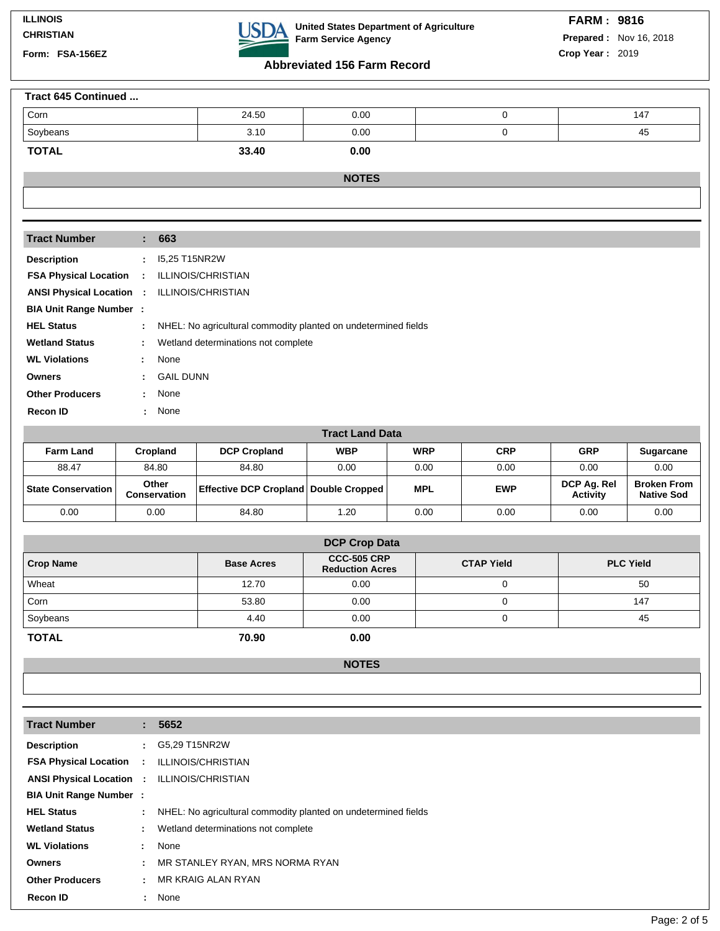| <b>Tract Number</b>                                |                             | : 663                                                          |
|----------------------------------------------------|-----------------------------|----------------------------------------------------------------|
| <b>Description</b>                                 | $\mathcal{L}^{\mathcal{L}}$ | 15,25 T15NR2W                                                  |
| <b>FSA Physical Location</b>                       | $\mathcal{L}$               | <b>ILLINOIS/CHRISTIAN</b>                                      |
| <b>ANSI Physical Location : ILLINOIS/CHRISTIAN</b> |                             |                                                                |
| <b>BIA Unit Range Number:</b>                      |                             |                                                                |
| <b>HEL Status</b>                                  | ÷.                          | NHEL: No agricultural commodity planted on undetermined fields |
| <b>Wetland Status</b>                              | ÷.                          | Wetland determinations not complete                            |
| <b>WL Violations</b>                               | ÷.                          | None                                                           |
| <b>Owners</b>                                      | ÷.                          | <b>GAIL DUNN</b>                                               |
| <b>Other Producers</b>                             | ÷.                          | None                                                           |
| <b>Recon ID</b>                                    | ۰.                          | None                                                           |

| <b>Tract Land Data</b> |                       |                                                |            |            |            |                                |                                         |  |  |  |  |
|------------------------|-----------------------|------------------------------------------------|------------|------------|------------|--------------------------------|-----------------------------------------|--|--|--|--|
| <b>Farm Land</b>       | Cropland              | <b>DCP Cropland</b>                            | <b>WBP</b> | <b>WRP</b> | <b>CRP</b> | <b>GRP</b>                     | <b>Sugarcane</b>                        |  |  |  |  |
| 88.47                  | 84.80                 | 84.80                                          | 0.00       | 0.00       | 0.00       | 0.00                           | 0.00                                    |  |  |  |  |
| ∣ State Conservation ∣ | Other<br>Conservation | <b>Effective DCP Cropland   Double Cropped</b> |            | <b>MPL</b> | <b>EWP</b> | DCP Ag. Rel<br><b>Activity</b> | <b>Broken From</b><br><b>Native Sod</b> |  |  |  |  |
| 0.00                   | 0.00                  | 84.80                                          | 1.20       | 0.00       | 0.00       | 0.00                           | 0.00                                    |  |  |  |  |

| <b>DCP Crop Data</b> |                   |                                              |                   |                  |  |  |  |  |  |
|----------------------|-------------------|----------------------------------------------|-------------------|------------------|--|--|--|--|--|
| <b>Crop Name</b>     | <b>Base Acres</b> | <b>CCC-505 CRP</b><br><b>Reduction Acres</b> | <b>CTAP Yield</b> | <b>PLC Yield</b> |  |  |  |  |  |
| Wheat                | 12.70             | 0.00                                         |                   | 50               |  |  |  |  |  |
| Corn                 | 53.80             | 0.00                                         |                   | 147              |  |  |  |  |  |
| Soybeans             | 4.40              | 0.00                                         |                   | 45               |  |  |  |  |  |
| <b>TOTAL</b>         | 70.90             | 0.00                                         |                   |                  |  |  |  |  |  |